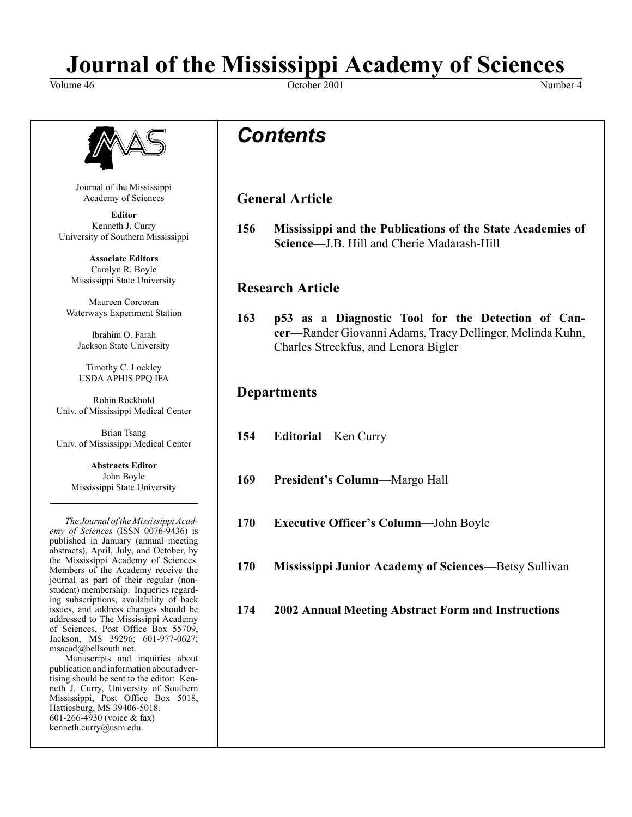### **Journal of the Mississippi Academy of Sciences**

Volume 46 Number 4 Number 4 Number 4 Number 4 Number 4 Number 4 Number 4 Number 4 Number 4 Number 4 Number 4 Number 4 Number 4 Number 4 Number 4 Number 4 Number 4 Number 4 Number 4 Number 4 Number 4 Number 4 Number 4 Numbe



Journal of the Mississippi Academy of Sciences

**Editor** Kenneth J. Curry University of Southern Mississippi

**Associate Editors** Carolyn R. Boyle Mississippi State University

Maureen Corcoran Waterways Experiment Station

Ibrahim O. Farah Jackson State University

Timothy C. Lockley USDA APHIS PPQ IFA

Robin Rockhold Univ. of Mississippi Medical Center

Brian Tsang Univ. of Mississippi Medical Center

> **Abstracts Editor** John Boyle Mississippi State University

*The Journal of the Mississippi Academy of Sciences* (ISSN 0076-9436) is published in January (annual meeting abstracts), April, July, and October, by the Mississippi Academy of Sciences. Members of the Academy receive the journal as part of their regular (nonstudent) membership. Inqueries regarding subscriptions, availability of back issues, and address changes should be addressed to The Mississippi Academy of Sciences, Post Office Box 55709, Jackson, MS 39296; 601-977-0627; msacad@bellsouth.net.

Manuscripts and inquiries about publication and information about advertising should be sent to the editor: Kenneth J. Curry, University of Southern Mississippi, Post Office Box 5018, Hattiesburg, MS 39406-5018. 601-266-4930 (voice & fax) kenneth.curry@usm.edu.

### *Contents*

#### **General Article**

**156 Mississippi and the Publications of the State Academies of Science**—J.B. Hill and Cherie Madarash-Hill

#### **Research Article**

**163 p53 as a Diagnostic Tool for the Detection of Cancer**—Rander Giovanni Adams, Tracy Dellinger, Melinda Kuhn, Charles Streckfus, and Lenora Bigler

#### **Departments**

- **154 Editorial**—Ken Curry
- **169 President's Column**—Margo Hall
- **170 Executive Officer's Column**—John Boyle
- **170 Mississippi Junior Academy of Sciences**—Betsy Sullivan
- **174 2002 Annual Meeting Abstract Form and Instructions**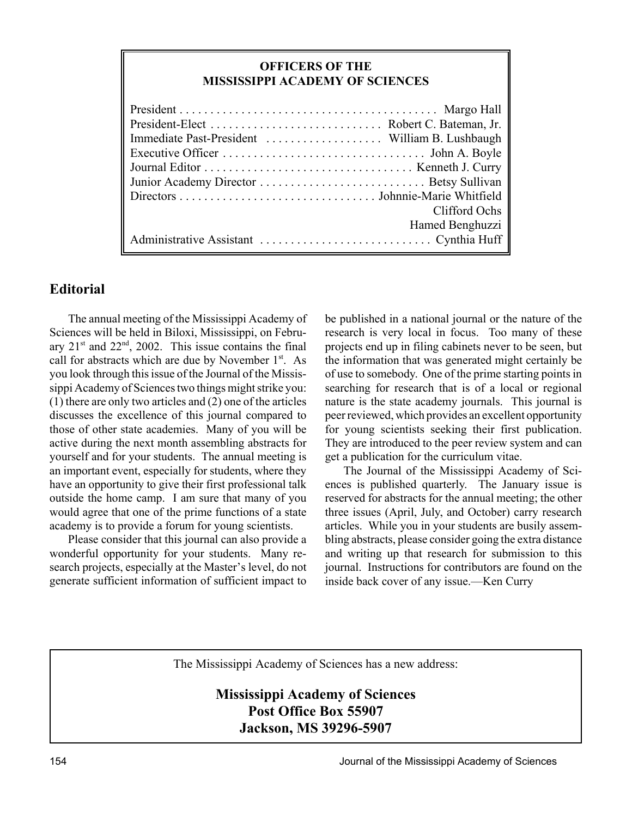#### **OFFICERS OF THE MISSISSIPPI ACADEMY OF SCIENCES**

| Clifford Ochs   |
|-----------------|
| Hamed Benghuzzi |
|                 |

#### **Editorial**

The annual meeting of the Mississippi Academy of Sciences will be held in Biloxi, Mississippi, on February  $21<sup>st</sup>$  and  $22<sup>nd</sup>$ ,  $2002$ . This issue contains the final call for abstracts which are due by November 1<sup>st</sup>. As you look through this issue of the Journal of the Mississippi Academy of Sciences two things might strike you: (1) there are only two articles and (2) one of the articles discusses the excellence of this journal compared to those of other state academies. Many of you will be active during the next month assembling abstracts for yourself and for your students. The annual meeting is an important event, especially for students, where they have an opportunity to give their first professional talk outside the home camp. I am sure that many of you would agree that one of the prime functions of a state academy is to provide a forum for young scientists.

Please consider that this journal can also provide a wonderful opportunity for your students. Many research projects, especially at the Master's level, do not generate sufficient information of sufficient impact to

be published in a national journal or the nature of the research is very local in focus. Too many of these projects end up in filing cabinets never to be seen, but the information that was generated might certainly be of use to somebody. One of the prime starting points in searching for research that is of a local or regional nature is the state academy journals. This journal is peer reviewed, which provides an excellent opportunity for young scientists seeking their first publication. They are introduced to the peer review system and can get a publication for the curriculum vitae.

The Journal of the Mississippi Academy of Sciences is published quarterly. The January issue is reserved for abstracts for the annual meeting; the other three issues (April, July, and October) carry research articles. While you in your students are busily assembling abstracts, please consider going the extra distance and writing up that research for submission to this journal. Instructions for contributors are found on the inside back cover of any issue.—Ken Curry

The Mississippi Academy of Sciences has a new address:

**Mississippi Academy of Sciences Post Office Box 55907 Jackson, MS 39296-5907**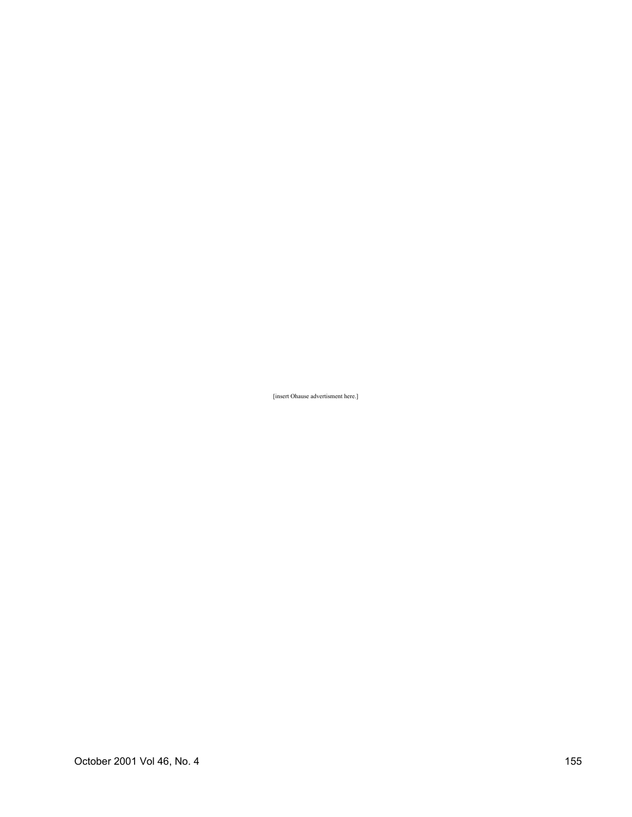[insert Ohause advertisment here.]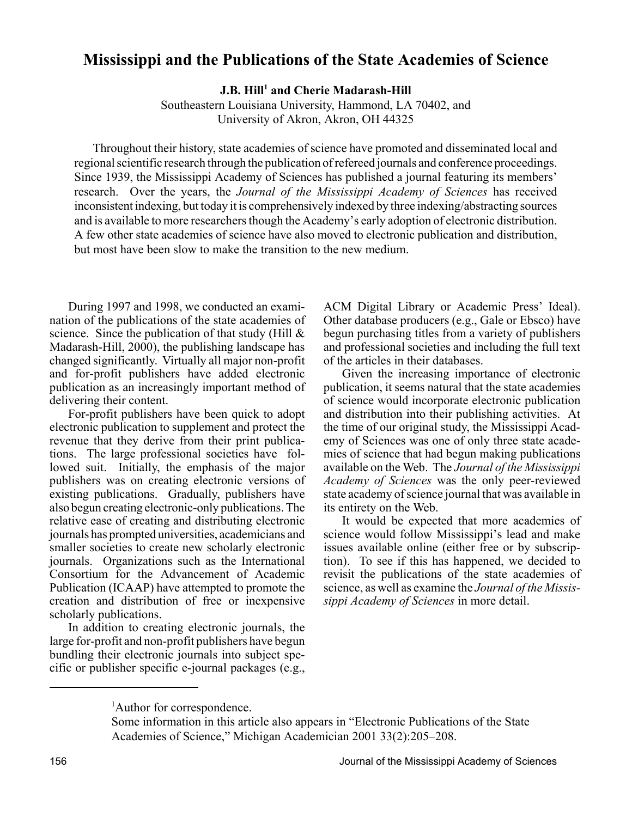#### **Mississippi and the Publications of the State Academies of Science**

 $J.B. Hill<sup>1</sup>$  and Cherie Madarash-Hill

Southeastern Louisiana University, Hammond, LA 70402, and University of Akron, Akron, OH 44325

Throughout their history, state academies of science have promoted and disseminated local and regional scientific research through the publication of refereed journals and conference proceedings. Since 1939, the Mississippi Academy of Sciences has published a journal featuring its members' research. Over the years, the *Journal of the Mississippi Academy of Sciences* has received inconsistent indexing, but today it is comprehensively indexed by three indexing/abstracting sources and is available to more researchers though the Academy's early adoption of electronic distribution. A few other state academies of science have also moved to electronic publication and distribution, but most have been slow to make the transition to the new medium.

During 1997 and 1998, we conducted an examination of the publications of the state academies of science. Since the publication of that study (Hill  $\&$ Madarash-Hill, 2000), the publishing landscape has changed significantly. Virtually all major non-profit and for-profit publishers have added electronic publication as an increasingly important method of delivering their content.

For-profit publishers have been quick to adopt electronic publication to supplement and protect the revenue that they derive from their print publications. The large professional societies have followed suit. Initially, the emphasis of the major publishers was on creating electronic versions of existing publications. Gradually, publishers have also begun creating electronic-only publications. The relative ease of creating and distributing electronic journals has prompted universities, academicians and smaller societies to create new scholarly electronic journals. Organizations such as the International Consortium for the Advancement of Academic Publication (ICAAP) have attempted to promote the creation and distribution of free or inexpensive scholarly publications.

In addition to creating electronic journals, the large for-profit and non-profit publishers have begun bundling their electronic journals into subject specific or publisher specific e-journal packages (e.g.,

ACM Digital Library or Academic Press' Ideal). Other database producers (e.g., Gale or Ebsco) have begun purchasing titles from a variety of publishers and professional societies and including the full text of the articles in their databases.

Given the increasing importance of electronic publication, it seems natural that the state academies of science would incorporate electronic publication and distribution into their publishing activities. At the time of our original study, the Mississippi Academy of Sciences was one of only three state academies of science that had begun making publications available on the Web. The *Journal of the Mississippi Academy of Sciences* was the only peer-reviewed state academy of science journal that was available in its entirety on the Web.

It would be expected that more academies of science would follow Mississippi's lead and make issues available online (either free or by subscription). To see if this has happened, we decided to revisit the publications of the state academies of science, as well as examine the *Journal of the Mississippi Academy of Sciences* in more detail.

<sup>&</sup>lt;sup>1</sup>Author for correspondence.

Some information in this article also appears in "Electronic Publications of the State Academies of Science," Michigan Academician 2001 33(2):205–208.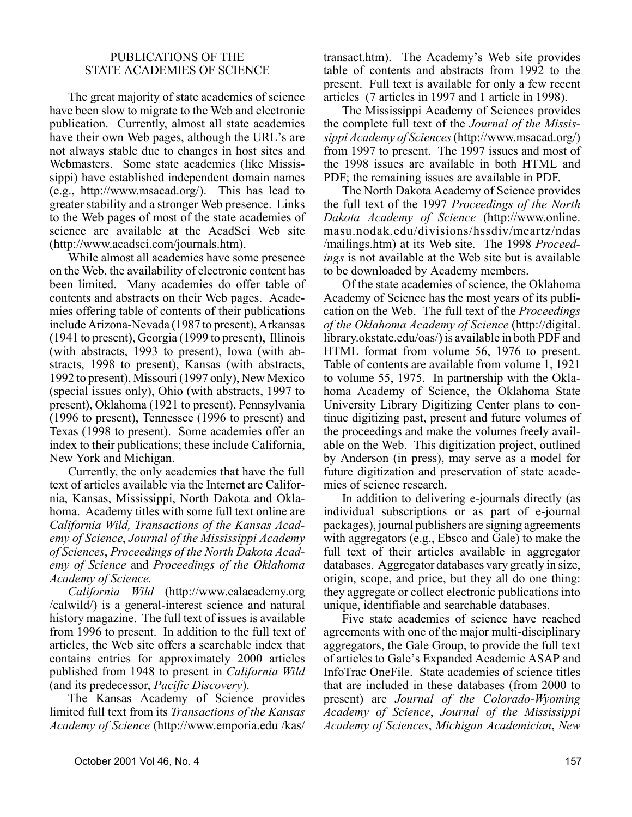#### PUBLICATIONS OF THE STATE ACADEMIES OF SCIENCE

The great majority of state academies of science have been slow to migrate to the Web and electronic publication. Currently, almost all state academies have their own Web pages, although the URL's are not always stable due to changes in host sites and Webmasters. Some state academies (like Mississippi) have established independent domain names (e.g., http://www.msacad.org/). This has lead to greater stability and a stronger Web presence. Links to the Web pages of most of the state academies of science are available at the AcadSci Web site (http://www.acadsci.com/journals.htm).

While almost all academies have some presence on the Web, the availability of electronic content has been limited. Many academies do offer table of contents and abstracts on their Web pages. Academies offering table of contents of their publications include Arizona-Nevada (1987 to present), Arkansas (1941 to present), Georgia (1999 to present), Illinois (with abstracts, 1993 to present), Iowa (with abstracts, 1998 to present), Kansas (with abstracts, 1992 to present), Missouri (1997 only), New Mexico (special issues only), Ohio (with abstracts, 1997 to present), Oklahoma (1921 to present), Pennsylvania (1996 to present), Tennessee (1996 to present) and Texas (1998 to present). Some academies offer an index to their publications; these include California, New York and Michigan.

Currently, the only academies that have the full text of articles available via the Internet are California, Kansas, Mississippi, North Dakota and Oklahoma. Academy titles with some full text online are *California Wild, Transactions of the Kansas Academy of Science*, *Journal of the Mississippi Academy of Sciences*, *Proceedings of the North Dakota Academy of Science* and *Proceedings of the Oklahoma Academy of Science.*

*California Wild* (http://www.calacademy.org /calwild/) is a general-interest science and natural history magazine. The full text of issues is available from 1996 to present. In addition to the full text of articles, the Web site offers a searchable index that contains entries for approximately 2000 articles published from 1948 to present in *California Wild* (and its predecessor, *Pacific Discovery*).

The Kansas Academy of Science provides limited full text from its *Transactions of the Kansas Academy of Science* (http://www.emporia.edu /kas/

transact.htm). The Academy's Web site provides table of contents and abstracts from 1992 to the present. Full text is available for only a few recent articles (7 articles in 1997 and 1 article in 1998).

The Mississippi Academy of Sciences provides the complete full text of the *Journal of the Mississippi Academy of Sciences* (http://www.msacad.org/) from 1997 to present. The 1997 issues and most of the 1998 issues are available in both HTML and PDF; the remaining issues are available in PDF.

The North Dakota Academy of Science provides the full text of the 1997 *Proceedings of the North Dakota Academy of Science* (http://www.online. masu.nodak.edu/divisions/hssdiv/meartz/ndas /mailings.htm) at its Web site. The 1998 *Proceedings* is not available at the Web site but is available to be downloaded by Academy members.

Of the state academies of science, the Oklahoma Academy of Science has the most years of its publication on the Web. The full text of the *Proceedings of the Oklahoma Academy of Science* (http://digital. library.okstate.edu/oas/) is available in both PDF and HTML format from volume 56, 1976 to present. Table of contents are available from volume 1, 1921 to volume 55, 1975. In partnership with the Oklahoma Academy of Science, the Oklahoma State University Library Digitizing Center plans to continue digitizing past, present and future volumes of the proceedings and make the volumes freely available on the Web. This digitization project, outlined by Anderson (in press), may serve as a model for future digitization and preservation of state academies of science research.

In addition to delivering e-journals directly (as individual subscriptions or as part of e-journal packages), journal publishers are signing agreements with aggregators (e.g., Ebsco and Gale) to make the full text of their articles available in aggregator databases. Aggregator databases vary greatly in size, origin, scope, and price, but they all do one thing: they aggregate or collect electronic publications into unique, identifiable and searchable databases.

Five state academies of science have reached agreements with one of the major multi-disciplinary aggregators, the Gale Group, to provide the full text of articles to Gale's Expanded Academic ASAP and InfoTrac OneFile. State academies of science titles that are included in these databases (from 2000 to present) are *Journal of the Colorado-Wyoming Academy of Science*, *Journal of the Mississippi Academy of Sciences*, *Michigan Academician*, *New*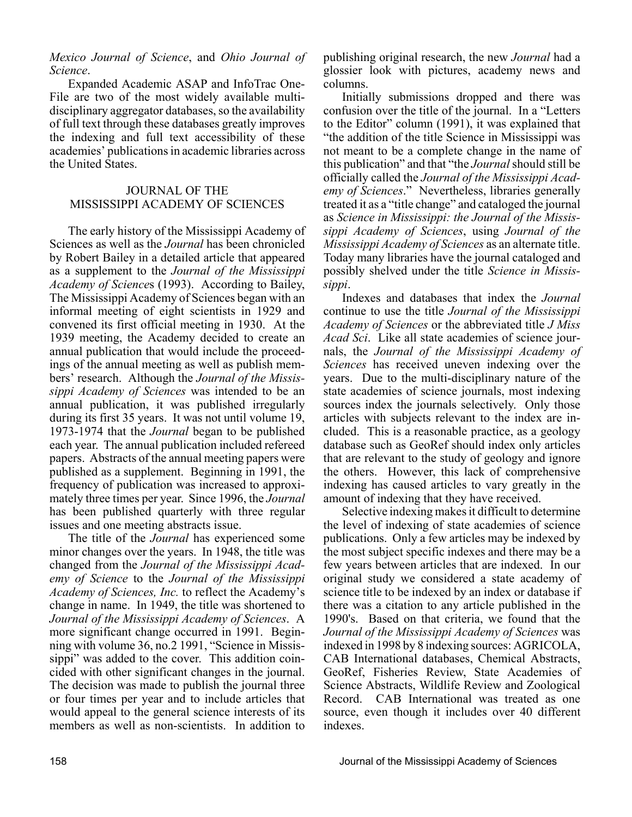*Mexico Journal of Science*, and *Ohio Journal of Science*.

Expanded Academic ASAP and InfoTrac One-File are two of the most widely available multidisciplinary aggregator databases, so the availability of full text through these databases greatly improves the indexing and full text accessibility of these academies' publications in academic libraries across the United States.

#### JOURNAL OF THE MISSISSIPPI ACADEMY OF SCIENCES

The early history of the Mississippi Academy of Sciences as well as the *Journal* has been chronicled by Robert Bailey in a detailed article that appeared as a supplement to the *Journal of the Mississippi Academy of Science*s (1993). According to Bailey, The Mississippi Academy of Sciences began with an informal meeting of eight scientists in 1929 and convened its first official meeting in 1930. At the 1939 meeting, the Academy decided to create an annual publication that would include the proceedings of the annual meeting as well as publish members' research. Although the *Journal of the Mississippi Academy of Sciences* was intended to be an annual publication, it was published irregularly during its first 35 years. It was not until volume 19, 1973-1974 that the *Journal* began to be published each year. The annual publication included refereed papers. Abstracts of the annual meeting papers were published as a supplement. Beginning in 1991, the frequency of publication was increased to approximately three times per year. Since 1996, the *Journal* has been published quarterly with three regular issues and one meeting abstracts issue.

The title of the *Journal* has experienced some minor changes over the years. In 1948, the title was changed from the *Journal of the Mississippi Academy of Science* to the *Journal of the Mississippi Academy of Sciences, Inc.* to reflect the Academy's change in name. In 1949, the title was shortened to *Journal of the Mississippi Academy of Sciences*. A more significant change occurred in 1991. Beginning with volume 36, no.2 1991, "Science in Mississippi" was added to the cover. This addition coincided with other significant changes in the journal. The decision was made to publish the journal three or four times per year and to include articles that would appeal to the general science interests of its members as well as non-scientists. In addition to publishing original research, the new *Journal* had a glossier look with pictures, academy news and columns.

Initially submissions dropped and there was confusion over the title of the journal. In a "Letters to the Editor" column (1991), it was explained that "the addition of the title Science in Mississippi was not meant to be a complete change in the name of this publication" and that "the *Journal* should still be officially called the *Journal of the Mississippi Academy of Sciences*." Nevertheless, libraries generally treated it as a "title change" and cataloged the journal as *Science in Mississippi: the Journal of the Mississippi Academy of Sciences*, using *Journal of the Mississippi Academy of Sciences* as an alternate title. Today many libraries have the journal cataloged and possibly shelved under the title *Science in Mississippi*.

Indexes and databases that index the *Journal* continue to use the title *Journal of the Mississippi Academy of Sciences* or the abbreviated title *J Miss Acad Sci*. Like all state academies of science journals, the *Journal of the Mississippi Academy of Sciences* has received uneven indexing over the years. Due to the multi-disciplinary nature of the state academies of science journals, most indexing sources index the journals selectively. Only those articles with subjects relevant to the index are included. This is a reasonable practice, as a geology database such as GeoRef should index only articles that are relevant to the study of geology and ignore the others. However, this lack of comprehensive indexing has caused articles to vary greatly in the amount of indexing that they have received.

Selective indexing makes it difficult to determine the level of indexing of state academies of science publications. Only a few articles may be indexed by the most subject specific indexes and there may be a few years between articles that are indexed. In our original study we considered a state academy of science title to be indexed by an index or database if there was a citation to any article published in the 1990's. Based on that criteria, we found that the *Journal of the Mississippi Academy of Sciences* was indexed in 1998 by 8 indexing sources: AGRICOLA, CAB International databases, Chemical Abstracts, GeoRef, Fisheries Review, State Academies of Science Abstracts, Wildlife Review and Zoological Record. CAB International was treated as one source, even though it includes over 40 different indexes.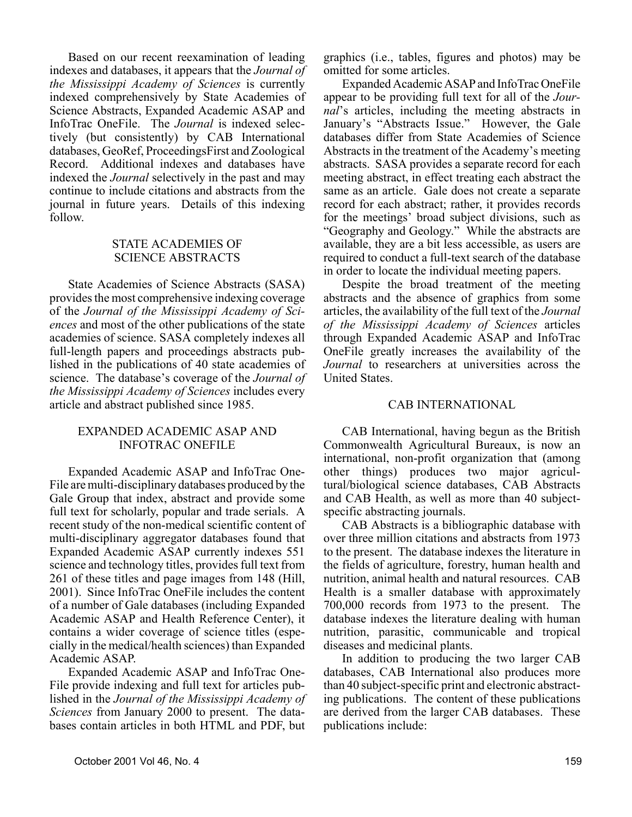Based on our recent reexamination of leading indexes and databases, it appears that the *Journal of the Mississippi Academy of Sciences* is currently indexed comprehensively by State Academies of Science Abstracts, Expanded Academic ASAP and InfoTrac OneFile. The *Journal* is indexed selectively (but consistently) by CAB International databases, GeoRef, ProceedingsFirst and Zoological Record. Additional indexes and databases have indexed the *Journal* selectively in the past and may continue to include citations and abstracts from the journal in future years. Details of this indexing follow.

#### STATE ACADEMIES OF SCIENCE ABSTRACTS

State Academies of Science Abstracts (SASA) provides the most comprehensive indexing coverage of the *Journal of the Mississippi Academy of Sciences* and most of the other publications of the state academies of science. SASA completely indexes all full-length papers and proceedings abstracts published in the publications of 40 state academies of science. The database's coverage of the *Journal of the Mississippi Academy of Sciences* includes every article and abstract published since 1985.

#### EXPANDED ACADEMIC ASAP AND INFOTRAC ONEFILE

Expanded Academic ASAP and InfoTrac One-File are multi-disciplinary databases produced by the Gale Group that index, abstract and provide some full text for scholarly, popular and trade serials. A recent study of the non-medical scientific content of multi-disciplinary aggregator databases found that Expanded Academic ASAP currently indexes 551 science and technology titles, provides full text from 261 of these titles and page images from 148 (Hill, 2001). Since InfoTrac OneFile includes the content of a number of Gale databases (including Expanded Academic ASAP and Health Reference Center), it contains a wider coverage of science titles (especially in the medical/health sciences) than Expanded Academic ASAP.

Expanded Academic ASAP and InfoTrac One-File provide indexing and full text for articles published in the *Journal of the Mississippi Academy of Sciences* from January 2000 to present. The databases contain articles in both HTML and PDF, but

graphics (i.e., tables, figures and photos) may be omitted for some articles.

Expanded Academic ASAP and InfoTrac OneFile appear to be providing full text for all of the *Journal*'s articles, including the meeting abstracts in January's "Abstracts Issue." However, the Gale databases differ from State Academies of Science Abstracts in the treatment of the Academy's meeting abstracts. SASA provides a separate record for each meeting abstract, in effect treating each abstract the same as an article. Gale does not create a separate record for each abstract; rather, it provides records for the meetings' broad subject divisions, such as "Geography and Geology." While the abstracts are available, they are a bit less accessible, as users are required to conduct a full-text search of the database in order to locate the individual meeting papers.

Despite the broad treatment of the meeting abstracts and the absence of graphics from some articles, the availability of the full text of the *Journal of the Mississippi Academy of Sciences* articles through Expanded Academic ASAP and InfoTrac OneFile greatly increases the availability of the *Journal* to researchers at universities across the United States.

#### CAB INTERNATIONAL

CAB International, having begun as the British Commonwealth Agricultural Bureaux, is now an international, non-profit organization that (among other things) produces two major agricultural/biological science databases, CAB Abstracts and CAB Health, as well as more than 40 subjectspecific abstracting journals.

CAB Abstracts is a bibliographic database with over three million citations and abstracts from 1973 to the present. The database indexes the literature in the fields of agriculture, forestry, human health and nutrition, animal health and natural resources. CAB Health is a smaller database with approximately 700,000 records from 1973 to the present. The database indexes the literature dealing with human nutrition, parasitic, communicable and tropical diseases and medicinal plants.

In addition to producing the two larger CAB databases, CAB International also produces more than 40 subject-specific print and electronic abstracting publications. The content of these publications are derived from the larger CAB databases. These publications include: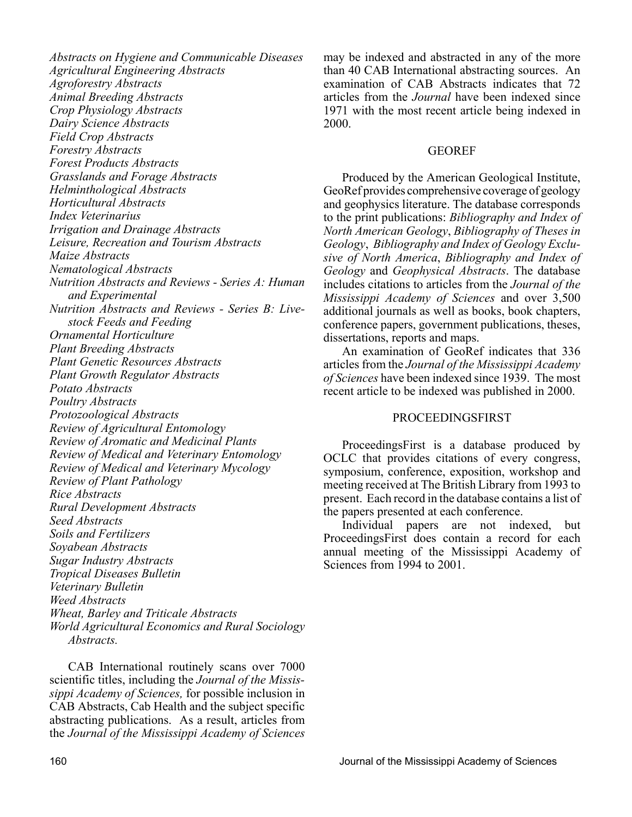*Abstracts on Hygiene and Communicable Diseases Agricultural Engineering Abstracts Agroforestry Abstracts Animal Breeding Abstracts Crop Physiology Abstracts Dairy Science Abstracts Field Crop Abstracts Forestry Abstracts Forest Products Abstracts Grasslands and Forage Abstracts Helminthological Abstracts Horticultural Abstracts Index Veterinarius Irrigation and Drainage Abstracts Leisure, Recreation and Tourism Abstracts Maize Abstracts Nematological Abstracts Nutrition Abstracts and Reviews - Series A: Human and Experimental Nutrition Abstracts and Reviews - Series B: Livestock Feeds and Feeding Ornamental Horticulture Plant Breeding Abstracts Plant Genetic Resources Abstracts Plant Growth Regulator Abstracts Potato Abstracts Poultry Abstracts Protozoological Abstracts Review of Agricultural Entomology Review of Aromatic and Medicinal Plants Review of Medical and Veterinary Entomology Review of Medical and Veterinary Mycology Review of Plant Pathology Rice Abstracts Rural Development Abstracts Seed Abstracts Soils and Fertilizers Soyabean Abstracts Sugar Industry Abstracts Tropical Diseases Bulletin Veterinary Bulletin Weed Abstracts Wheat, Barley and Triticale Abstracts World Agricultural Economics and Rural Sociology Abstracts.*

CAB International routinely scans over 7000 scientific titles, including the *Journal of the Mississippi Academy of Sciences,* for possible inclusion in CAB Abstracts, Cab Health and the subject specific abstracting publications. As a result, articles from the *Journal of the Mississippi Academy of Sciences*

may be indexed and abstracted in any of the more than 40 CAB International abstracting sources. An examination of CAB Abstracts indicates that 72 articles from the *Journal* have been indexed since 1971 with the most recent article being indexed in 2000.

#### GEOREF

Produced by the American Geological Institute, GeoRef provides comprehensive coverage of geology and geophysics literature. The database corresponds to the print publications: *Bibliography and Index of North American Geology*, *Bibliography of Theses in Geology*, *Bibliography and Index of Geology Exclusive of North America*, *Bibliography and Index of Geology* and *Geophysical Abstracts*. The database includes citations to articles from the *Journal of the Mississippi Academy of Sciences* and over 3,500 additional journals as well as books, book chapters, conference papers, government publications, theses, dissertations, reports and maps.

An examination of GeoRef indicates that 336 articles from the *Journal of the Mississippi Academy of Sciences* have been indexed since 1939. The most recent article to be indexed was published in 2000.

#### PROCEEDINGSFIRST

ProceedingsFirst is a database produced by OCLC that provides citations of every congress, symposium, conference, exposition, workshop and meeting received at The British Library from 1993 to present. Each record in the database contains a list of the papers presented at each conference.

Individual papers are not indexed, but ProceedingsFirst does contain a record for each annual meeting of the Mississippi Academy of Sciences from 1994 to 2001.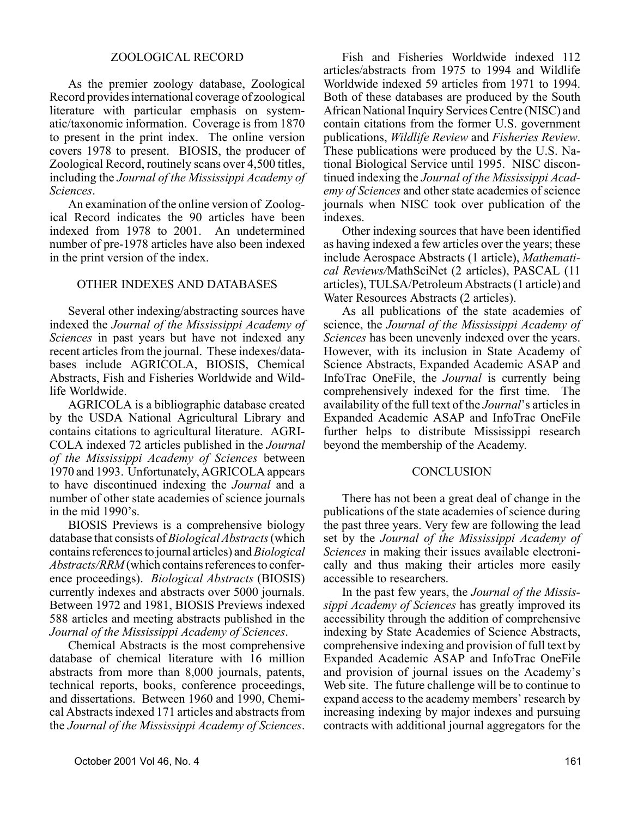#### ZOOLOGICAL RECORD

As the premier zoology database, Zoological Record provides international coverage of zoological literature with particular emphasis on systematic/taxonomic information. Coverage is from 1870 to present in the print index. The online version covers 1978 to present. BIOSIS, the producer of Zoological Record, routinely scans over 4,500 titles, including the *Journal of the Mississippi Academy of Sciences*.

An examination of the online version of Zoological Record indicates the 90 articles have been indexed from 1978 to 2001. An undetermined number of pre-1978 articles have also been indexed in the print version of the index.

#### OTHER INDEXES AND DATABASES

Several other indexing/abstracting sources have indexed the *Journal of the Mississippi Academy of Sciences* in past years but have not indexed any recent articles from the journal. These indexes/databases include AGRICOLA, BIOSIS, Chemical Abstracts, Fish and Fisheries Worldwide and Wildlife Worldwide.

AGRICOLA is a bibliographic database created by the USDA National Agricultural Library and contains citations to agricultural literature. AGRI-COLA indexed 72 articles published in the *Journal of the Mississippi Academy of Sciences* between 1970 and 1993. Unfortunately, AGRICOLA appears to have discontinued indexing the *Journal* and a number of other state academies of science journals in the mid 1990's.

BIOSIS Previews is a comprehensive biology database that consists of *Biological Abstracts* (which contains references to journal articles) and *Biological Abstracts/RRM* (which contains references to conference proceedings). *Biological Abstracts* (BIOSIS) currently indexes and abstracts over 5000 journals. Between 1972 and 1981, BIOSIS Previews indexed 588 articles and meeting abstracts published in the *Journal of the Mississippi Academy of Sciences*.

Chemical Abstracts is the most comprehensive database of chemical literature with 16 million abstracts from more than 8,000 journals, patents, technical reports, books, conference proceedings, and dissertations. Between 1960 and 1990, Chemical Abstracts indexed 171 articles and abstracts from the *Journal of the Mississippi Academy of Sciences*.

Fish and Fisheries Worldwide indexed 112 articles/abstracts from 1975 to 1994 and Wildlife Worldwide indexed 59 articles from 1971 to 1994. Both of these databases are produced by the South African National Inquiry Services Centre (NISC) and contain citations from the former U.S. government publications, *Wildlife Review* and *Fisheries Review*. These publications were produced by the U.S. National Biological Service until 1995. NISC discontinued indexing the *Journal of the Mississippi Academy of Sciences* and other state academies of science journals when NISC took over publication of the indexes.

Other indexing sources that have been identified as having indexed a few articles over the years; these include Aerospace Abstracts (1 article), *Mathematical Reviews/*MathSciNet (2 articles), PASCAL (11 articles), TULSA/Petroleum Abstracts (1 article) and Water Resources Abstracts (2 articles).

As all publications of the state academies of science, the *Journal of the Mississippi Academy of Sciences* has been unevenly indexed over the years. However, with its inclusion in State Academy of Science Abstracts, Expanded Academic ASAP and InfoTrac OneFile, the *Journal* is currently being comprehensively indexed for the first time. The availability of the full text of the *Journal*'s articles in Expanded Academic ASAP and InfoTrac OneFile further helps to distribute Mississippi research beyond the membership of the Academy.

#### **CONCLUSION**

There has not been a great deal of change in the publications of the state academies of science during the past three years. Very few are following the lead set by the *Journal of the Mississippi Academy of Sciences* in making their issues available electronically and thus making their articles more easily accessible to researchers.

In the past few years, the *Journal of the Mississippi Academy of Sciences* has greatly improved its accessibility through the addition of comprehensive indexing by State Academies of Science Abstracts, comprehensive indexing and provision of full text by Expanded Academic ASAP and InfoTrac OneFile and provision of journal issues on the Academy's Web site. The future challenge will be to continue to expand access to the academy members' research by increasing indexing by major indexes and pursuing contracts with additional journal aggregators for the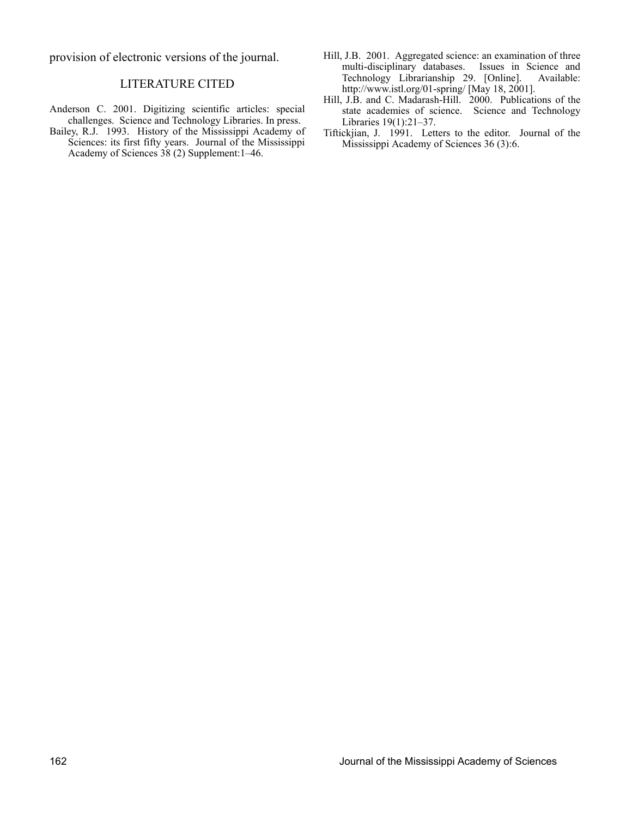provision of electronic versions of the journal.

#### LITERATURE CITED

- Anderson C. 2001. Digitizing scientific articles: special challenges. Science and Technology Libraries. In press.
- Bailey, R.J. 1993. History of the Mississippi Academy of Sciences: its first fifty years. Journal of the Mississippi Academy of Sciences 38 (2) Supplement:1–46.
- Hill, J.B. 2001. Aggregated science: an examination of three multi-disciplinary databases. Issues in Science and Technology Librarianship 29. [Online]. Available: http://www.istl.org/01-spring/ [May 18, 2001].
- Hill, J.B. and C. Madarash-Hill. 2000. Publications of the state academies of science. Science and Technology Libraries 19(1):21–37.
- Tiftickjian, J. 1991. Letters to the editor. Journal of the Mississippi Academy of Sciences 36 (3):6.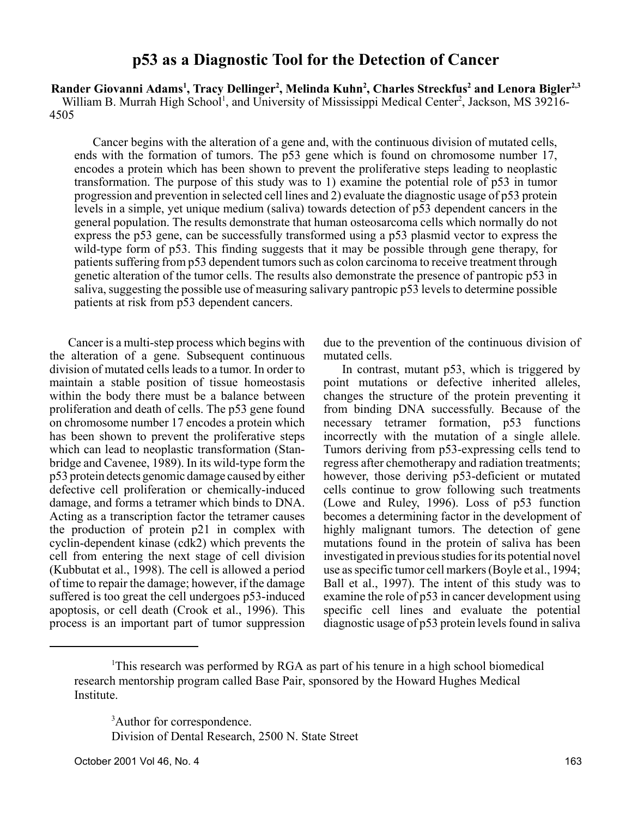#### **p53 as a Diagnostic Tool for the Detection of Cancer**

Rander Giovanni Adams<sup>1</sup>, Tracy Dellinger<sup>2</sup>, Melinda Kuhn<sup>2</sup>, Charles Streckfus<sup>2</sup> and Lenora Bigler<sup>2,3</sup> William B. Murrah High School<sup>1</sup>, and University of Mississippi Medical Center<sup>2</sup>, Jackson, MS 39216-4505

Cancer begins with the alteration of a gene and, with the continuous division of mutated cells, ends with the formation of tumors. The p53 gene which is found on chromosome number 17, encodes a protein which has been shown to prevent the proliferative steps leading to neoplastic transformation. The purpose of this study was to 1) examine the potential role of p53 in tumor progression and prevention in selected cell lines and 2) evaluate the diagnostic usage of p53 protein levels in a simple, yet unique medium (saliva) towards detection of p53 dependent cancers in the general population. The results demonstrate that human osteosarcoma cells which normally do not express the p53 gene, can be successfully transformed using a p53 plasmid vector to express the wild-type form of p53. This finding suggests that it may be possible through gene therapy, for patients suffering from p53 dependent tumors such as colon carcinoma to receive treatment through genetic alteration of the tumor cells. The results also demonstrate the presence of pantropic p53 in saliva, suggesting the possible use of measuring salivary pantropic p53 levels to determine possible patients at risk from p53 dependent cancers.

Cancer is a multi-step process which begins with the alteration of a gene. Subsequent continuous division of mutated cells leads to a tumor. In order to maintain a stable position of tissue homeostasis within the body there must be a balance between proliferation and death of cells. The p53 gene found on chromosome number 17 encodes a protein which has been shown to prevent the proliferative steps which can lead to neoplastic transformation (Stanbridge and Cavenee, 1989). In its wild-type form the p53 protein detects genomic damage caused by either defective cell proliferation or chemically-induced damage, and forms a tetramer which binds to DNA. Acting as a transcription factor the tetramer causes the production of protein p21 in complex with cyclin-dependent kinase (cdk2) which prevents the cell from entering the next stage of cell division (Kubbutat et al., 1998). The cell is allowed a period of time to repair the damage; however, if the damage suffered is too great the cell undergoes p53-induced apoptosis, or cell death (Crook et al., 1996). This process is an important part of tumor suppression due to the prevention of the continuous division of mutated cells.

In contrast, mutant p53, which is triggered by point mutations or defective inherited alleles, changes the structure of the protein preventing it from binding DNA successfully. Because of the necessary tetramer formation, p53 functions incorrectly with the mutation of a single allele. Tumors deriving from p53-expressing cells tend to regress after chemotherapy and radiation treatments; however, those deriving p53-deficient or mutated cells continue to grow following such treatments (Lowe and Ruley, 1996). Loss of p53 function becomes a determining factor in the development of highly malignant tumors. The detection of gene mutations found in the protein of saliva has been investigated in previous studies for its potential novel use as specific tumor cell markers (Boyle et al., 1994; Ball et al., 1997). The intent of this study was to examine the role of p53 in cancer development using specific cell lines and evaluate the potential diagnostic usage of p53 protein levels found in saliva

<sup>&</sup>lt;sup>1</sup>This research was performed by RGA as part of his tenure in a high school biomedical research mentorship program called Base Pair, sponsored by the Howard Hughes Medical Institute.

<sup>&</sup>lt;sup>3</sup>Author for correspondence. Division of Dental Research, 2500 N. State Street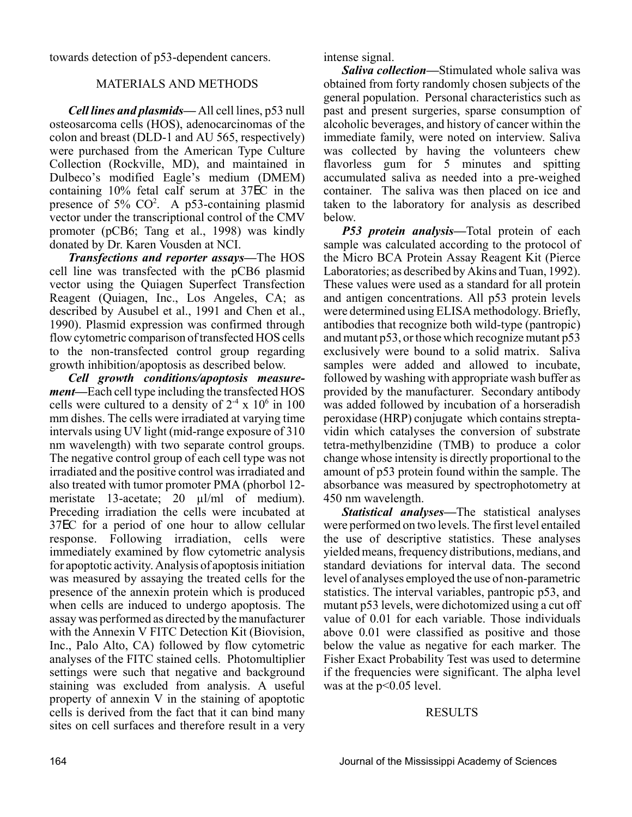towards detection of p53-dependent cancers.

#### MATERIALS AND METHODS

*Cell lines and plasmids—* All cell lines, p53 null osteosarcoma cells (HOS), adenocarcinomas of the colon and breast (DLD-1 and AU 565, respectively) were purchased from the American Type Culture Collection (Rockville, MD), and maintained in Dulbeco's modified Eagle's medium (DMEM) containing 10% fetal calf serum at 37EC in the presence of 5% CO<sup>2</sup>. A p53-containing plasmid vector under the transcriptional control of the CMV promoter (pCB6; Tang et al., 1998) was kindly donated by Dr. Karen Vousden at NCI.

*Transfections and reporter assays—*The HOS cell line was transfected with the pCB6 plasmid vector using the Quiagen Superfect Transfection Reagent (Quiagen, Inc., Los Angeles, CA; as described by Ausubel et al., 1991 and Chen et al., 1990). Plasmid expression was confirmed through flow cytometric comparison of transfected HOS cells to the non-transfected control group regarding growth inhibition/apoptosis as described below.

*Cell growth conditions/apoptosis measurement—*Each cell type including the transfected HOS cells were cultured to a density of  $2<sup>4</sup>$  x 10<sup>6</sup> in 100 mm dishes. The cells were irradiated at varying time intervals using UV light (mid-range exposure of 310 nm wavelength) with two separate control groups. The negative control group of each cell type was not irradiated and the positive control was irradiated and also treated with tumor promoter PMA (phorbol 12 meristate 13-acetate; 20  $\mu$ l/ml of medium). Preceding irradiation the cells were incubated at 37EC for a period of one hour to allow cellular response. Following irradiation, cells were immediately examined by flow cytometric analysis for apoptotic activity. Analysis of apoptosis initiation was measured by assaying the treated cells for the presence of the annexin protein which is produced when cells are induced to undergo apoptosis. The assay was performed as directed by the manufacturer with the Annexin V FITC Detection Kit (Biovision, Inc., Palo Alto, CA) followed by flow cytometric analyses of the FITC stained cells. Photomultiplier settings were such that negative and background staining was excluded from analysis. A useful property of annexin V in the staining of apoptotic cells is derived from the fact that it can bind many sites on cell surfaces and therefore result in a very intense signal.

*Saliva collection—*Stimulated whole saliva was obtained from forty randomly chosen subjects of the general population. Personal characteristics such as past and present surgeries, sparse consumption of alcoholic beverages, and history of cancer within the immediate family, were noted on interview. Saliva was collected by having the volunteers chew flavorless gum for 5 minutes and spitting accumulated saliva as needed into a pre-weighed container. The saliva was then placed on ice and taken to the laboratory for analysis as described below.

*P53 protein analysis—*Total protein of each sample was calculated according to the protocol of the Micro BCA Protein Assay Reagent Kit (Pierce Laboratories; as described by Akins and Tuan, 1992). These values were used as a standard for all protein and antigen concentrations. All p53 protein levels were determined using ELISA methodology. Briefly, antibodies that recognize both wild-type (pantropic) and mutant p53, or those which recognize mutant p53 exclusively were bound to a solid matrix. Saliva samples were added and allowed to incubate, followed by washing with appropriate wash buffer as provided by the manufacturer. Secondary antibody was added followed by incubation of a horseradish peroxidase (HRP) conjugate which contains streptavidin which catalyses the conversion of substrate tetra-methylbenzidine (TMB) to produce a color change whose intensity is directly proportional to the amount of p53 protein found within the sample. The absorbance was measured by spectrophotometry at 450 nm wavelength.

*Statistical analyses—*The statistical analyses were performed on two levels. The first level entailed the use of descriptive statistics. These analyses yielded means, frequency distributions, medians, and standard deviations for interval data. The second level of analyses employed the use of non-parametric statistics. The interval variables, pantropic p53, and mutant p53 levels, were dichotomized using a cut off value of 0.01 for each variable. Those individuals above 0.01 were classified as positive and those below the value as negative for each marker. The Fisher Exact Probability Test was used to determine if the frequencies were significant. The alpha level was at the  $p<0.05$  level.

#### RESULTS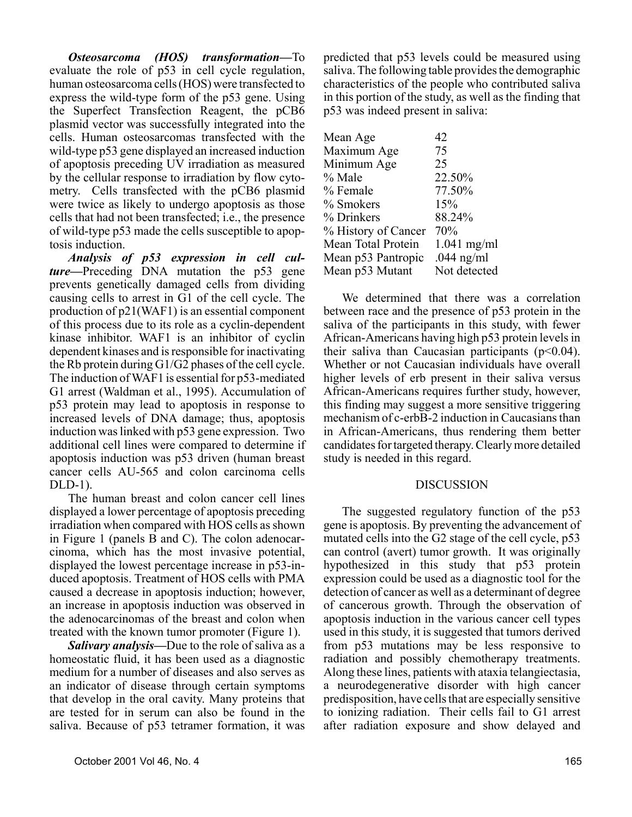*Osteosarcoma (HOS) transformation—*To evaluate the role of p53 in cell cycle regulation, human osteosarcoma cells (HOS) were transfected to express the wild-type form of the p53 gene. Using the Superfect Transfection Reagent, the pCB6 plasmid vector was successfully integrated into the cells. Human osteosarcomas transfected with the wild-type p53 gene displayed an increased induction of apoptosis preceding UV irradiation as measured by the cellular response to irradiation by flow cytometry. Cells transfected with the pCB6 plasmid were twice as likely to undergo apoptosis as those cells that had not been transfected; i.e., the presence of wild-type p53 made the cells susceptible to apoptosis induction.

*Analysis of p53 expression in cell culture—*Preceding DNA mutation the p53 gene prevents genetically damaged cells from dividing causing cells to arrest in G1 of the cell cycle. The production of p21(WAF1) is an essential component of this process due to its role as a cyclin-dependent kinase inhibitor. WAF1 is an inhibitor of cyclin dependent kinases and is responsible for inactivating the Rb protein during G1/G2 phases of the cell cycle. The induction of WAF1 is essential for p53-mediated G1 arrest (Waldman et al., 1995). Accumulation of p53 protein may lead to apoptosis in response to increased levels of DNA damage; thus, apoptosis induction was linked with p53 gene expression. Two additional cell lines were compared to determine if apoptosis induction was p53 driven (human breast cancer cells AU-565 and colon carcinoma cells DLD-1).

The human breast and colon cancer cell lines displayed a lower percentage of apoptosis preceding irradiation when compared with HOS cells as shown in Figure 1 (panels B and C). The colon adenocarcinoma, which has the most invasive potential, displayed the lowest percentage increase in p53-induced apoptosis. Treatment of HOS cells with PMA caused a decrease in apoptosis induction; however, an increase in apoptosis induction was observed in the adenocarcinomas of the breast and colon when treated with the known tumor promoter (Figure 1).

*Salivary analysis—*Due to the role of saliva as a homeostatic fluid, it has been used as a diagnostic medium for a number of diseases and also serves as an indicator of disease through certain symptoms that develop in the oral cavity. Many proteins that are tested for in serum can also be found in the saliva. Because of p53 tetramer formation, it was

predicted that p53 levels could be measured using saliva. The following table provides the demographic characteristics of the people who contributed saliva in this portion of the study, as well as the finding that p53 was indeed present in saliva:

| Mean Age            | 42            |
|---------------------|---------------|
| Maximum Age         | 75            |
| Minimum Age         | 25            |
| $\%$ Male           | 22.50%        |
| % Female            | 77.50%        |
| % Smokers           | 15%           |
| % Drinkers          | 88.24%        |
| % History of Cancer | 70%           |
| Mean Total Protein  | $1.041$ mg/ml |
| Mean p53 Pantropic  | .044 $ng/ml$  |
| Mean p53 Mutant     | Not detected  |
|                     |               |

We determined that there was a correlation between race and the presence of p53 protein in the saliva of the participants in this study, with fewer African-Americans having high p53 protein levels in their saliva than Caucasian participants  $(p<0.04)$ . Whether or not Caucasian individuals have overall higher levels of erb present in their saliva versus African-Americans requires further study, however, this finding may suggest a more sensitive triggering mechanism of c-erbB-2 induction in Caucasians than in African-Americans, thus rendering them better candidates for targeted therapy. Clearly more detailed study is needed in this regard.

#### DISCUSSION

The suggested regulatory function of the p53 gene is apoptosis. By preventing the advancement of mutated cells into the G2 stage of the cell cycle, p53 can control (avert) tumor growth. It was originally hypothesized in this study that p53 protein expression could be used as a diagnostic tool for the detection of cancer as well as a determinant of degree of cancerous growth. Through the observation of apoptosis induction in the various cancer cell types used in this study, it is suggested that tumors derived from p53 mutations may be less responsive to radiation and possibly chemotherapy treatments. Along these lines, patients with ataxia telangiectasia, a neurodegenerative disorder with high cancer predisposition, have cells that are especially sensitive to ionizing radiation. Their cells fail to G1 arrest after radiation exposure and show delayed and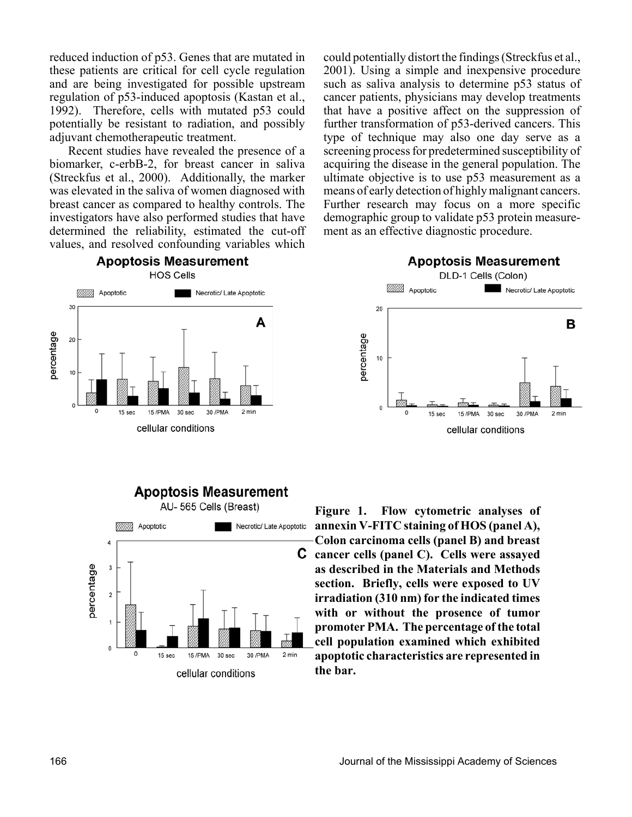reduced induction of p53. Genes that are mutated in these patients are critical for cell cycle regulation and are being investigated for possible upstream regulation of p53-induced apoptosis (Kastan et al., 1992). Therefore, cells with mutated p53 could potentially be resistant to radiation, and possibly adjuvant chemotherapeutic treatment.

Recent studies have revealed the presence of a biomarker, c-erbB-2, for breast cancer in saliva (Streckfus et al., 2000). Additionally, the marker was elevated in the saliva of women diagnosed with breast cancer as compared to healthy controls. The investigators have also performed studies that have determined the reliability, estimated the cut-off values, and resolved confounding variables which

**Apoptosis Measurement** 

could potentially distort the findings (Streckfus et al., 2001). Using a simple and inexpensive procedure such as saliva analysis to determine p53 status of cancer patients, physicians may develop treatments that have a positive affect on the suppression of further transformation of p53-derived cancers. This type of technique may also one day serve as a screening process for predetermined susceptibility of acquiring the disease in the general population. The ultimate objective is to use p53 measurement as a means of early detection of highly malignant cancers. Further research may focus on a more specific demographic group to validate p53 protein measurement as an effective diagnostic procedure.







cellular conditions



**Figure 1. Flow cytometric analyses of annexin V-FITC staining of HOS (panel A), Colon carcinoma cells (panel B) and breast cancer cells (panel C). Cells were assayed as described in the Materials and Methods section. Briefly, cells were exposed to UV irradiation (310 nm) for the indicated times with or without the prosence of tumor promoter PMA. The percentage of the total cell population examined which exhibited apoptotic characteristics are represented in the bar.**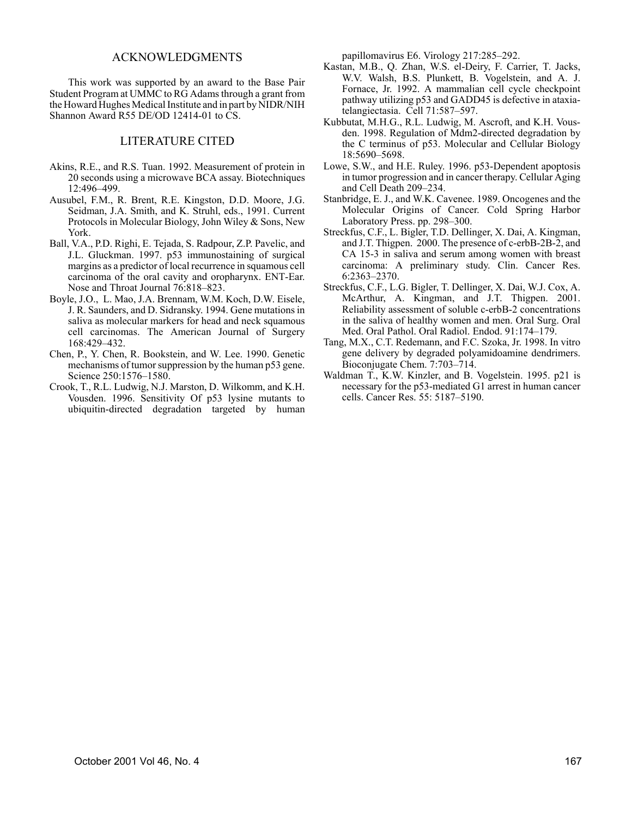#### ACKNOWLEDGMENTS

This work was supported by an award to the Base Pair Student Program at UMMC to RG Adams through a grant from the Howard Hughes Medical Institute and in part by NIDR/NIH Shannon Award R55 DE/OD 12414-01 to CS.

#### LITERATURE CITED

- Akins, R.E., and R.S. Tuan. 1992. Measurement of protein in 20 seconds using a microwave BCA assay. Biotechniques 12:496–499.
- Ausubel, F.M., R. Brent, R.E. Kingston, D.D. Moore, J.G. Seidman, J.A. Smith, and K. Struhl, eds., 1991. Current Protocols in Molecular Biology, John Wiley & Sons, New York.
- Ball, V.A., P.D. Righi, E. Tejada, S. Radpour, Z.P. Pavelic, and J.L. Gluckman. 1997. p53 immunostaining of surgical margins as a predictor of local recurrence in squamous cell carcinoma of the oral cavity and oropharynx. ENT-Ear. Nose and Throat Journal 76:818–823.
- Boyle, J.O., L. Mao, J.A. Brennam, W.M. Koch, D.W. Eisele, J. R. Saunders, and D. Sidransky. 1994. Gene mutations in saliva as molecular markers for head and neck squamous cell carcinomas. The American Journal of Surgery 168:429–432.
- Chen, P., Y. Chen, R. Bookstein, and W. Lee. 1990. Genetic mechanisms of tumor suppression by the human p53 gene. Science 250:1576–1580.
- Crook, T., R.L. Ludwig, N.J. Marston, D. Wilkomm, and K.H. Vousden. 1996. Sensitivity Of p53 lysine mutants to ubiquitin-directed degradation targeted by human

papillomavirus E6. Virology 217:285–292.

- Kastan, M.B., Q. Zhan, W.S. el-Deiry, F. Carrier, T. Jacks, W.V. Walsh, B.S. Plunkett, B. Vogelstein, and A. J. Fornace, Jr. 1992. A mammalian cell cycle checkpoint pathway utilizing p53 and GADD45 is defective in ataxiatelangiectasia. Cell 71:587–597.
- Kubbutat, M.H.G., R.L. Ludwig, M. Ascroft, and K.H. Vousden. 1998. Regulation of Mdm2-directed degradation by the C terminus of p53. Molecular and Cellular Biology 18:5690–5698.
- Lowe, S.W., and H.E. Ruley. 1996. p53-Dependent apoptosis in tumor progression and in cancer therapy. Cellular Aging and Cell Death 209–234.
- Stanbridge, E. J., and W.K. Cavenee. 1989. Oncogenes and the Molecular Origins of Cancer. Cold Spring Harbor Laboratory Press. pp. 298–300.
- Streckfus, C.F., L. Bigler, T.D. Dellinger, X. Dai, A. Kingman, and J.T. Thigpen. 2000. The presence of c-erbB-2B-2, and CA 15-3 in saliva and serum among women with breast carcinoma: A preliminary study. Clin. Cancer Res. 6:2363–2370.
- Streckfus, C.F., L.G. Bigler, T. Dellinger, X. Dai, W.J. Cox, A. McArthur, A. Kingman, and J.T. Thigpen. 2001. Reliability assessment of soluble c-erbB-2 concentrations in the saliva of healthy women and men. Oral Surg. Oral Med. Oral Pathol. Oral Radiol. Endod. 91:174–179.
- Tang, M.X., C.T. Redemann, and F.C. Szoka, Jr. 1998. In vitro gene delivery by degraded polyamidoamine dendrimers. Bioconjugate Chem. 7:703–714.
- Waldman T., K.W. Kinzler, and B. Vogelstein. 1995. p21 is necessary for the p53-mediated G1 arrest in human cancer cells. Cancer Res. 55: 5187–5190.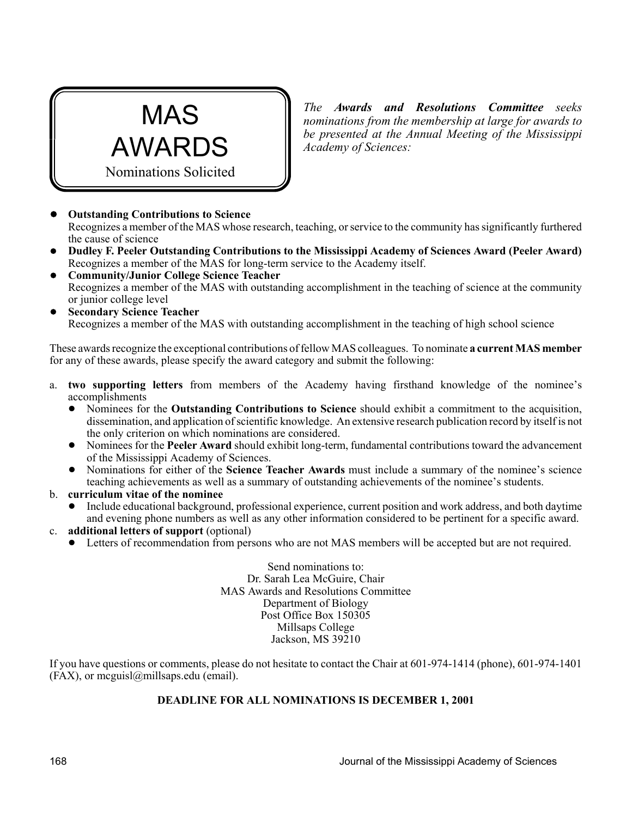

*The Awards and Resolutions Committee seeks nominations from the membership at large for awards to be presented at the Annual Meeting of the Mississippi Academy of Sciences:*

! **Outstanding Contributions to Science** Recognizes a member of the MAS whose research, teaching, or service to the community has significantly furthered the cause of science

- ! **Dudley F. Peeler Outstanding Contributions to the Mississippi Academy of Sciences Award (Peeler Award)** Recognizes a member of the MAS for long-term service to the Academy itself.
- ! **Community/Junior College Science Teacher** Recognizes a member of the MAS with outstanding accomplishment in the teaching of science at the community or junior college level
- ! **Secondary Science Teacher** Recognizes a member of the MAS with outstanding accomplishment in the teaching of high school science

These awards recognize the exceptional contributions of fellow MAS colleagues. To nominate **a current MAS member** for any of these awards, please specify the award category and submit the following:

- a. **two supporting letters** from members of the Academy having firsthand knowledge of the nominee's accomplishments
	- ! Nominees for the **Outstanding Contributions to Science** should exhibit a commitment to the acquisition, dissemination, and application of scientific knowledge. An extensive research publication record by itself is not the only criterion on which nominations are considered.
	- ! Nominees for the **Peeler Award** should exhibit long-term, fundamental contributions toward the advancement of the Mississippi Academy of Sciences.
	- ! Nominations for either of the **Science Teacher Awards** must include a summary of the nominee's science teaching achievements as well as a summary of outstanding achievements of the nominee's students.
- b. **curriculum vitae of the nominee**
	- ! Include educational background, professional experience, current position and work address, and both daytime and evening phone numbers as well as any other information considered to be pertinent for a specific award.
- c. **additional letters of support** (optional)
	- ! Letters of recommendation from persons who are not MAS members will be accepted but are not required.

Send nominations to: Dr. Sarah Lea McGuire, Chair MAS Awards and Resolutions Committee Department of Biology Post Office Box 150305 Millsaps College Jackson, MS 39210

If you have questions or comments, please do not hesitate to contact the Chair at 601-974-1414 (phone), 601-974-1401  $(FAX)$ , or mcguisl $@$ millsaps.edu (email).

#### **DEADLINE FOR ALL NOMINATIONS IS DECEMBER 1, 2001**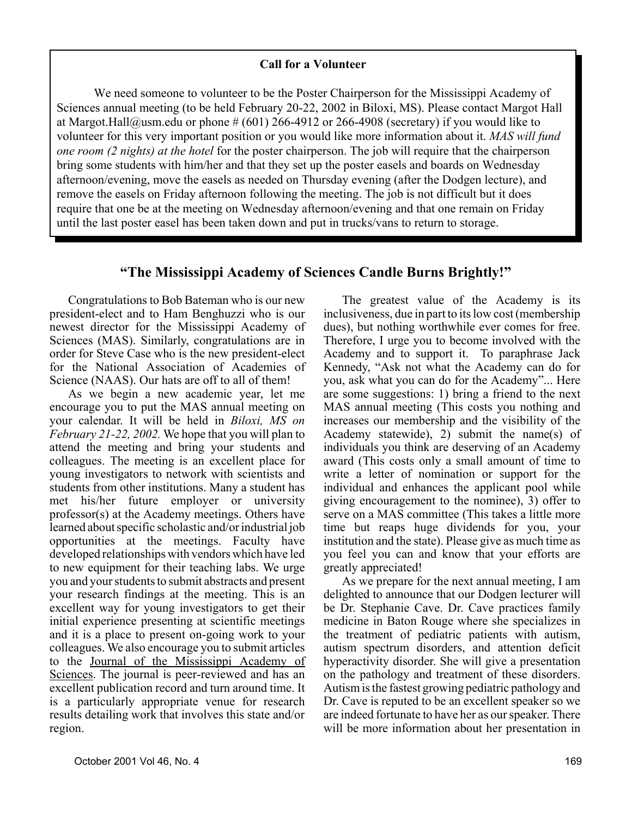#### **Call for a Volunteer**

We need someone to volunteer to be the Poster Chairperson for the Mississippi Academy of Sciences annual meeting (to be held February 20-22, 2002 in Biloxi, MS). Please contact Margot Hall at Margot.Hall@usm.edu or phone  $\# (601)$  266-4912 or 266-4908 (secretary) if you would like to volunteer for this very important position or you would like more information about it. *MAS will fund one room (2 nights) at the hotel* for the poster chairperson. The job will require that the chairperson bring some students with him/her and that they set up the poster easels and boards on Wednesday afternoon/evening, move the easels as needed on Thursday evening (after the Dodgen lecture), and remove the easels on Friday afternoon following the meeting. The job is not difficult but it does require that one be at the meeting on Wednesday afternoon/evening and that one remain on Friday until the last poster easel has been taken down and put in trucks/vans to return to storage.

#### **"The Mississippi Academy of Sciences Candle Burns Brightly!"**

Congratulations to Bob Bateman who is our new president-elect and to Ham Benghuzzi who is our newest director for the Mississippi Academy of Sciences (MAS). Similarly, congratulations are in order for Steve Case who is the new president-elect for the National Association of Academies of Science (NAAS). Our hats are off to all of them!

As we begin a new academic year, let me encourage you to put the MAS annual meeting on your calendar. It will be held in *Biloxi, MS on February 21-22, 2002.* We hope that you will plan to attend the meeting and bring your students and colleagues. The meeting is an excellent place for young investigators to network with scientists and students from other institutions. Many a student has met his/her future employer or university professor(s) at the Academy meetings. Others have learned about specific scholastic and/or industrial job opportunities at the meetings. Faculty have developed relationships with vendors which have led to new equipment for their teaching labs. We urge you and your students to submit abstracts and present your research findings at the meeting. This is an excellent way for young investigators to get their initial experience presenting at scientific meetings and it is a place to present on-going work to your colleagues. We also encourage you to submit articles to the Journal of the Mississippi Academy of Sciences. The journal is peer-reviewed and has an excellent publication record and turn around time. It is a particularly appropriate venue for research results detailing work that involves this state and/or region.

The greatest value of the Academy is its inclusiveness, due in part to its low cost (membership dues), but nothing worthwhile ever comes for free. Therefore, I urge you to become involved with the Academy and to support it. To paraphrase Jack Kennedy, "Ask not what the Academy can do for you, ask what you can do for the Academy"... Here are some suggestions: 1) bring a friend to the next MAS annual meeting (This costs you nothing and increases our membership and the visibility of the Academy statewide), 2) submit the name(s) of individuals you think are deserving of an Academy award (This costs only a small amount of time to write a letter of nomination or support for the individual and enhances the applicant pool while giving encouragement to the nominee), 3) offer to serve on a MAS committee (This takes a little more time but reaps huge dividends for you, your institution and the state). Please give as much time as you feel you can and know that your efforts are greatly appreciated!

As we prepare for the next annual meeting, I am delighted to announce that our Dodgen lecturer will be Dr. Stephanie Cave. Dr. Cave practices family medicine in Baton Rouge where she specializes in the treatment of pediatric patients with autism, autism spectrum disorders, and attention deficit hyperactivity disorder. She will give a presentation on the pathology and treatment of these disorders. Autism is the fastest growing pediatric pathology and Dr. Cave is reputed to be an excellent speaker so we are indeed fortunate to have her as our speaker. There will be more information about her presentation in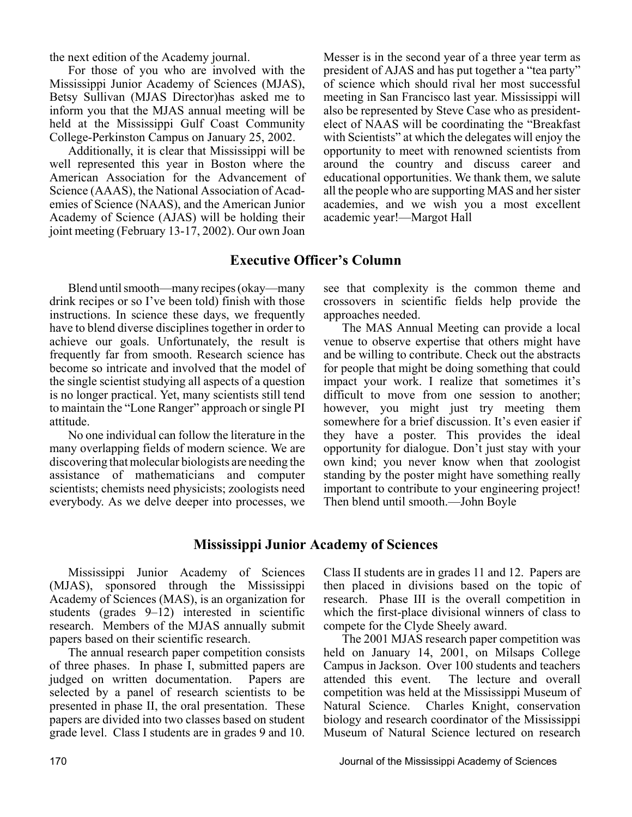the next edition of the Academy journal.

For those of you who are involved with the Mississippi Junior Academy of Sciences (MJAS), Betsy Sullivan (MJAS Director)has asked me to inform you that the MJAS annual meeting will be held at the Mississippi Gulf Coast Community College-Perkinston Campus on January 25, 2002.

Additionally, it is clear that Mississippi will be well represented this year in Boston where the American Association for the Advancement of Science (AAAS), the National Association of Academies of Science (NAAS), and the American Junior Academy of Science (AJAS) will be holding their joint meeting (February 13-17, 2002). Our own Joan

Messer is in the second year of a three year term as president of AJAS and has put together a "tea party" of science which should rival her most successful meeting in San Francisco last year. Mississippi will also be represented by Steve Case who as presidentelect of NAAS will be coordinating the "Breakfast with Scientists" at which the delegates will enjoy the opportunity to meet with renowned scientists from around the country and discuss career and educational opportunities. We thank them, we salute all the people who are supporting MAS and her sister academies, and we wish you a most excellent academic year!—Margot Hall

#### **Executive Officer's Column**

Blend until smooth—many recipes (okay—many drink recipes or so I've been told) finish with those instructions. In science these days, we frequently have to blend diverse disciplines together in order to achieve our goals. Unfortunately, the result is frequently far from smooth. Research science has become so intricate and involved that the model of the single scientist studying all aspects of a question is no longer practical. Yet, many scientists still tend to maintain the "Lone Ranger" approach or single PI attitude.

No one individual can follow the literature in the many overlapping fields of modern science. We are discovering that molecular biologists are needing the assistance of mathematicians and computer scientists; chemists need physicists; zoologists need everybody. As we delve deeper into processes, we

see that complexity is the common theme and crossovers in scientific fields help provide the approaches needed.

The MAS Annual Meeting can provide a local venue to observe expertise that others might have and be willing to contribute. Check out the abstracts for people that might be doing something that could impact your work. I realize that sometimes it's difficult to move from one session to another; however, you might just try meeting them somewhere for a brief discussion. It's even easier if they have a poster. This provides the ideal opportunity for dialogue. Don't just stay with your own kind; you never know when that zoologist standing by the poster might have something really important to contribute to your engineering project! Then blend until smooth.—John Boyle

#### **Mississippi Junior Academy of Sciences**

Mississippi Junior Academy of Sciences (MJAS), sponsored through the Mississippi Academy of Sciences (MAS), is an organization for students (grades 9–12) interested in scientific research. Members of the MJAS annually submit papers based on their scientific research.

The annual research paper competition consists of three phases. In phase I, submitted papers are judged on written documentation. Papers are selected by a panel of research scientists to be presented in phase II, the oral presentation. These papers are divided into two classes based on student grade level. Class I students are in grades 9 and 10.

Class II students are in grades 11 and 12. Papers are then placed in divisions based on the topic of research. Phase III is the overall competition in which the first-place divisional winners of class to compete for the Clyde Sheely award.

The 2001 MJAS research paper competition was held on January 14, 2001, on Milsaps College Campus in Jackson. Over 100 students and teachers The lecture and overall competition was held at the Mississippi Museum of Natural Science. Charles Knight, conservation biology and research coordinator of the Mississippi Museum of Natural Science lectured on research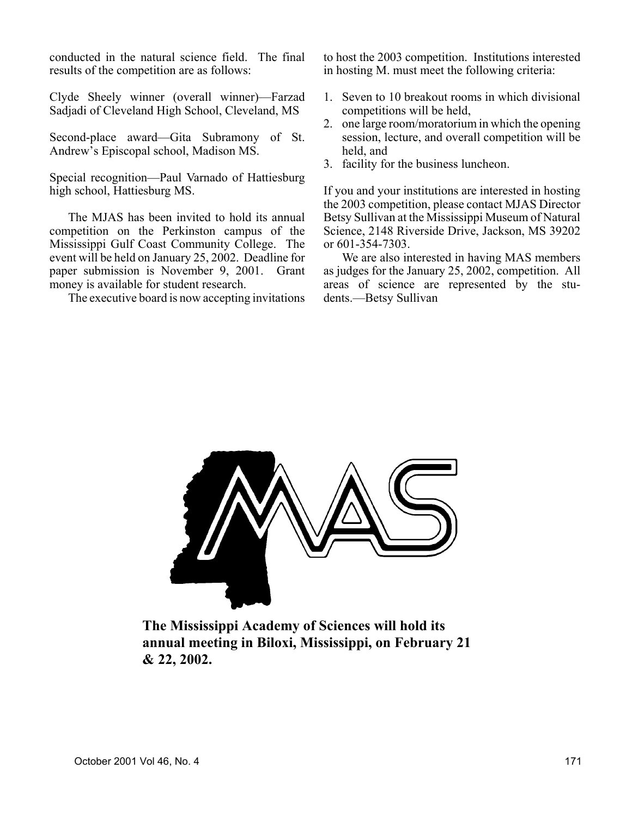conducted in the natural science field. The final results of the competition are as follows:

Clyde Sheely winner (overall winner)—Farzad Sadjadi of Cleveland High School, Cleveland, MS

Second-place award—Gita Subramony of St. Andrew's Episcopal school, Madison MS.

Special recognition—Paul Varnado of Hattiesburg high school, Hattiesburg MS.

The MJAS has been invited to hold its annual competition on the Perkinston campus of the Mississippi Gulf Coast Community College. The event will be held on January 25, 2002. Deadline for paper submission is November 9, 2001. Grant money is available for student research.

The executive board is now accepting invitations

to host the 2003 competition. Institutions interested in hosting M. must meet the following criteria:

- 1. Seven to 10 breakout rooms in which divisional competitions will be held,
- 2. one large room/moratorium in which the opening session, lecture, and overall competition will be held, and
- 3. facility for the business luncheon.

If you and your institutions are interested in hosting the 2003 competition, please contact MJAS Director Betsy Sullivan at the Mississippi Museum of Natural Science, 2148 Riverside Drive, Jackson, MS 39202 or 601-354-7303.

We are also interested in having MAS members as judges for the January 25, 2002, competition. All areas of science are represented by the students.—Betsy Sullivan



**The Mississippi Academy of Sciences will hold its annual meeting in Biloxi, Mississippi, on February 21 & 22, 2002.**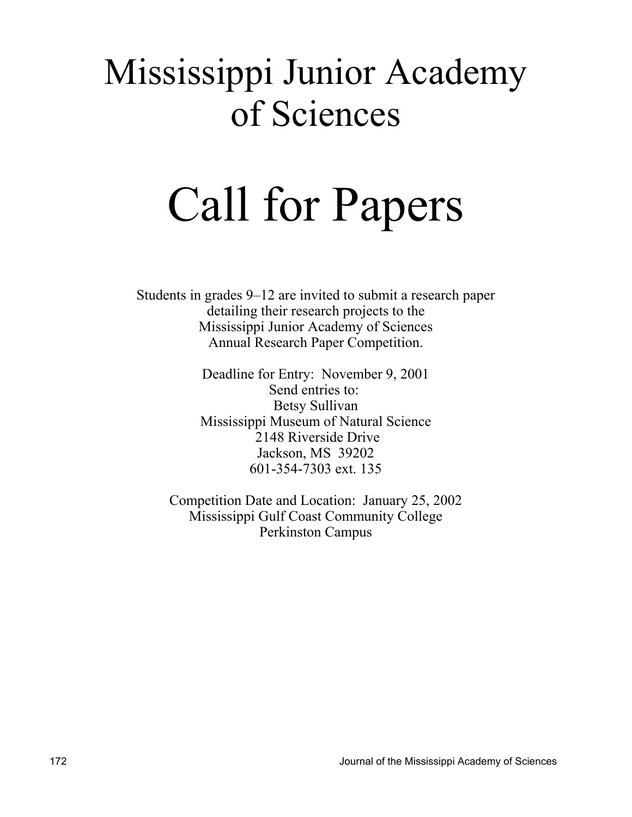## Mississippi Junior Academy of Sciences

# Call for Papers

Students in grades 9–12 are invited to submit a research paper detailing their research projects to the Mississippi Junior Academy of Sciences Annual Research Paper Competition.

> Deadline for Entry: November 9, 2001 Send entries to: Betsy Sullivan Mississippi Museum of Natural Science 2148 Riverside Drive Jackson, MS 39202 601-354-7303 ext. 135

Competition Date and Location: January 25, 2002 Mississippi Gulf Coast Community College Perkinston Campus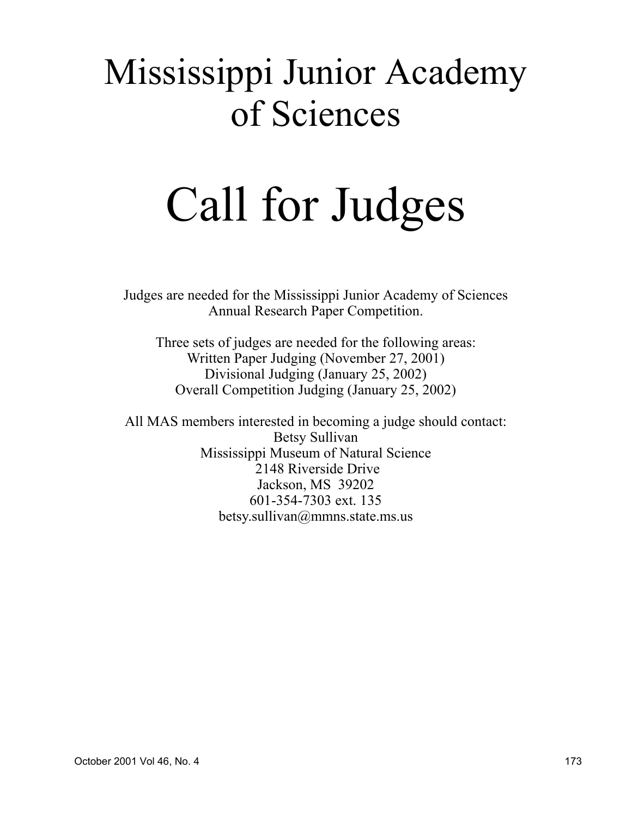## Mississippi Junior Academy of Sciences

# Call for Judges

Judges are needed for the Mississippi Junior Academy of Sciences Annual Research Paper Competition.

Three sets of judges are needed for the following areas: Written Paper Judging (November 27, 2001) Divisional Judging (January 25, 2002) Overall Competition Judging (January 25, 2002)

All MAS members interested in becoming a judge should contact: Betsy Sullivan Mississippi Museum of Natural Science 2148 Riverside Drive Jackson, MS 39202 601-354-7303 ext. 135 betsy.sullivan@mmns.state.ms.us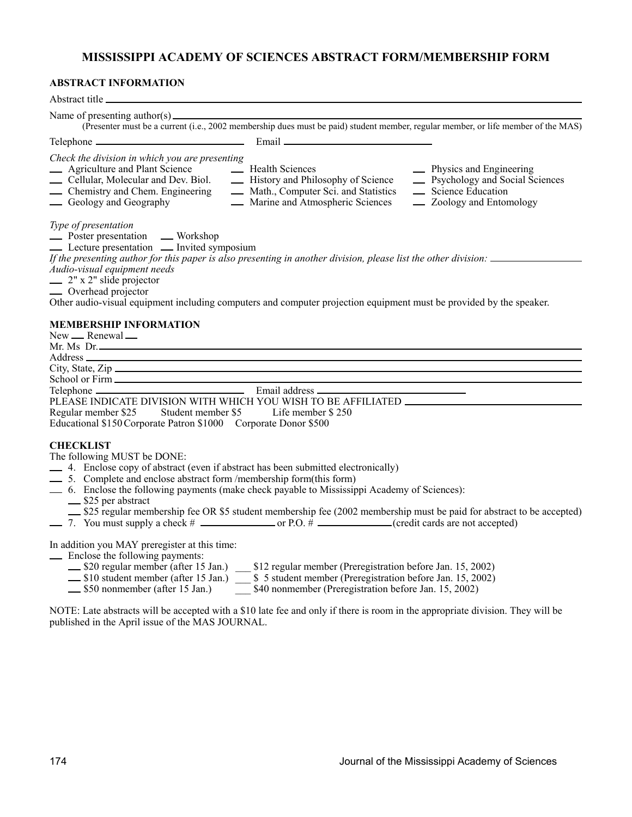#### **MISSISSIPPI ACADEMY OF SCIENCES ABSTRACT FORM/MEMBERSHIP FORM**

#### **ABSTRACT INFORMATION**

| Abstract title                                                                                                                                                                                                                                                                                                                                                                                                                                                              |
|-----------------------------------------------------------------------------------------------------------------------------------------------------------------------------------------------------------------------------------------------------------------------------------------------------------------------------------------------------------------------------------------------------------------------------------------------------------------------------|
| (Presenter must be a current (i.e., 2002 membership dues must be paid) student member, regular member, or life member of the MAS)                                                                                                                                                                                                                                                                                                                                           |
|                                                                                                                                                                                                                                                                                                                                                                                                                                                                             |
| Check the division in which you are presenting<br>- Agriculture and Plant Science<br>- Health Sciences<br>- History and Philosophy of Science<br>- History and Philosophy of Science<br>- Physics and Engineering<br><b>Exercise</b> Psychology and Social Sciences<br>- Chemistry and Chem. Engineering<br>- Math., Computer Sci. and Statistics<br>- Science Education<br>- Marine and Atmospheric Sciences<br>- Zoology and Entomology<br>- Geology and Geography        |
| Type of presentation<br>$\frac{1}{\sqrt{2}}$ Poster presentation $\qquad$ Workshop<br>- Lecture presentation - Invited symposium<br>If the presenting author for this paper is also presenting in another division, please list the other division:<br>Audio-visual equipment needs<br>$\frac{1}{2}$ 2" x 2" slide projector<br>— Overhead projector<br>Other audio-visual equipment including computers and computer projection equipment must be provided by the speaker. |
| <b>MEMBERSHIP INFORMATION</b><br>New __ Renewal __<br>Mr. Ms. Dr.                                                                                                                                                                                                                                                                                                                                                                                                           |
|                                                                                                                                                                                                                                                                                                                                                                                                                                                                             |
|                                                                                                                                                                                                                                                                                                                                                                                                                                                                             |
|                                                                                                                                                                                                                                                                                                                                                                                                                                                                             |
| PLEASE INDICATE DIVISION WITH WHICH YOU WISH TO BE AFFILIATED ___________________                                                                                                                                                                                                                                                                                                                                                                                           |
| Student member \$5 Life member \$250<br>Regular member \$25                                                                                                                                                                                                                                                                                                                                                                                                                 |
| Educational \$150 Corporate Patron \$1000 Corporate Donor \$500                                                                                                                                                                                                                                                                                                                                                                                                             |
| <b>CHECKLIST</b><br>The following MUST be DONE:<br>-4. Enclose copy of abstract (even if abstract has been submitted electronically)<br>5. Complete and enclose abstract form /membership form(this form)<br>- 6. Enclose the following payments (make check payable to Mississippi Academy of Sciences):<br>-S25 per abstract<br>_\$25 regular membership fee OR \$5 student membership fee (2002 membership must be paid for abstract to be accepted)                     |
| In addition you MAY preregister at this time:<br>- Enclose the following payments:<br>\$20 regular member (after 15 Jan.) \$12 regular member (Preregistration before Jan. 15, 2002)<br>_\$10 student member (after 15 Jan.) _ \$5 student member (Preregistration before Jan. 15, 2002)<br>-S50 nonmember (after 15 Jan.)<br>\$40 nonmember (Preregistration before Jan. 15, 2002)                                                                                         |

NOTE: Late abstracts will be accepted with a \$10 late fee and only if there is room in the appropriate division. They will be published in the April issue of the MAS JOURNAL.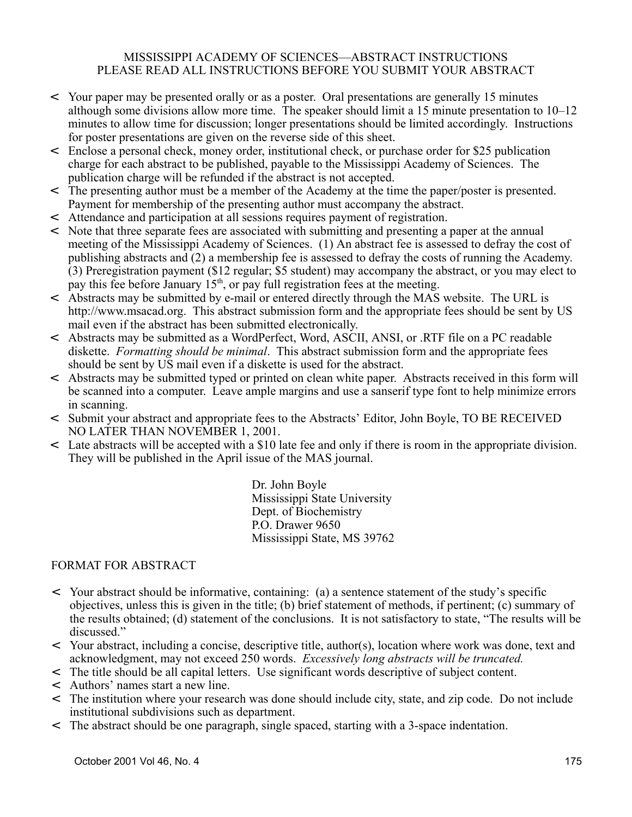#### MISSISSIPPI ACADEMY OF SCIENCES—ABSTRACT INSTRUCTIONS PLEASE READ ALL INSTRUCTIONS BEFORE YOU SUBMIT YOUR ABSTRACT

- < Your paper may be presented orally or as a poster. Oral presentations are generally 15 minutes although some divisions allow more time. The speaker should limit a 15 minute presentation to 10–12 minutes to allow time for discussion; longer presentations should be limited accordingly. Instructions for poster presentations are given on the reverse side of this sheet.
- < Enclose a personal check, money order, institutional check, or purchase order for \$25 publication charge for each abstract to be published, payable to the Mississippi Academy of Sciences. The publication charge will be refunded if the abstract is not accepted.
- < The presenting author must be a member of the Academy at the time the paper/poster is presented. Payment for membership of the presenting author must accompany the abstract.
- < Attendance and participation at all sessions requires payment of registration.
- < Note that three separate fees are associated with submitting and presenting a paper at the annual meeting of the Mississippi Academy of Sciences. (1) An abstract fee is assessed to defray the cost of publishing abstracts and (2) a membership fee is assessed to defray the costs of running the Academy. (3) Preregistration payment (\$12 regular; \$5 student) may accompany the abstract, or you may elect to pay this fee before January  $15<sup>th</sup>$ , or pay full registration fees at the meeting.
- < Abstracts may be submitted by e-mail or entered directly through the MAS website. The URL is http://www.msacad.org. This abstract submission form and the appropriate fees should be sent by US mail even if the abstract has been submitted electronically.
- < Abstracts may be submitted as a WordPerfect, Word, ASCII, ANSI, or .RTF file on a PC readable diskette. *Formatting should be minimal*. This abstract submission form and the appropriate fees should be sent by US mail even if a diskette is used for the abstract.
- < Abstracts may be submitted typed or printed on clean white paper. Abstracts received in this form will be scanned into a computer. Leave ample margins and use a sanserif type font to help minimize errors in scanning.
- < Submit your abstract and appropriate fees to the Abstracts' Editor, John Boyle, TO BE RECEIVED NO LATER THAN NOVEMBER 1, 2001.
- < Late abstracts will be accepted with a \$10 late fee and only if there is room in the appropriate division. They will be published in the April issue of the MAS journal.

Dr. John Boyle Mississippi State University Dept. of Biochemistry P.O. Drawer 9650 Mississippi State, MS 39762

#### FORMAT FOR ABSTRACT

- < Your abstract should be informative, containing: (a) a sentence statement of the study's specific objectives, unless this is given in the title; (b) brief statement of methods, if pertinent; (c) summary of the results obtained; (d) statement of the conclusions. It is not satisfactory to state, "The results will be discussed."
- < Your abstract, including a concise, descriptive title, author(s), location where work was done, text and acknowledgment, may not exceed 250 words. *Excessively long abstracts will be truncated.*
- < The title should be all capital letters. Use significant words descriptive of subject content.
- < Authors' names start a new line.
- < The institution where your research was done should include city, state, and zip code. Do not include institutional subdivisions such as department.
- < The abstract should be one paragraph, single spaced, starting with a 3-space indentation.